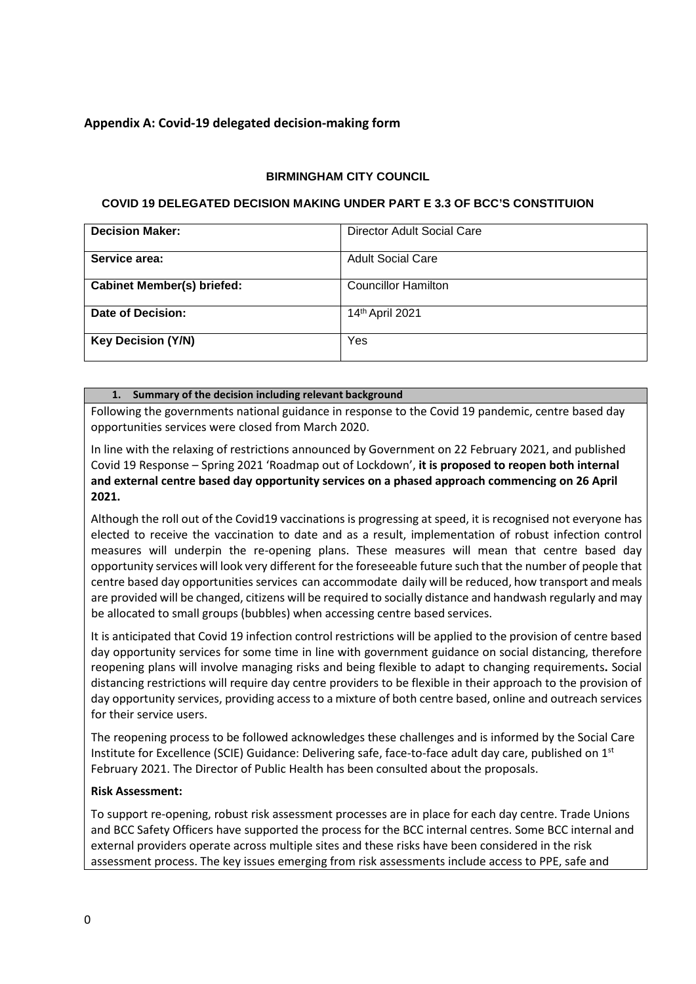# **Appendix A: Covid-19 delegated decision-making form**

### **BIRMINGHAM CITY COUNCIL**

### **COVID 19 DELEGATED DECISION MAKING UNDER PART E 3.3 OF BCC'S CONSTITUION**

| <b>Decision Maker:</b>            | Director Adult Social Care |
|-----------------------------------|----------------------------|
| Service area:                     | <b>Adult Social Care</b>   |
| <b>Cabinet Member(s) briefed:</b> | <b>Councillor Hamilton</b> |
| Date of Decision:                 | 14th April 2021            |
| <b>Key Decision (Y/N)</b>         | Yes                        |

#### **1. Summary of the decision including relevant background**

Following the governments national guidance in response to the Covid 19 pandemic, centre based day opportunities services were closed from March 2020.

In line with the relaxing of restrictions announced by Government on 22 February 2021, and published Covid 19 Response – Spring 2021 'Roadmap out of Lockdown', **it is proposed to reopen both internal and external centre based day opportunity services on a phased approach commencing on 26 April 2021.**

Although the roll out of the Covid19 vaccinations is progressing at speed, it is recognised not everyone has elected to receive the vaccination to date and as a result, implementation of robust infection control measures will underpin the re-opening plans. These measures will mean that centre based day opportunity services will look very different for the foreseeable future such that the number of people that centre based day opportunities services can accommodate daily will be reduced, how transport andmeals are provided will be changed, citizens will be required to socially distance and handwash regularly and may be allocated to small groups (bubbles) when accessing centre based services.

It is anticipated that Covid 19 infection control restrictions will be applied to the provision of centre based day opportunity services for some time in line with government guidance on social distancing, therefore reopening plans will involve managing risks and being flexible to adapt to changing requirements**.** Social distancing restrictions will require day centre providers to be flexible in their approach to the provision of day opportunity services, providing access to a mixture of both centre based, online and outreach services for their service users.

The reopening process to be followed acknowledges these challenges and is informed by the Social Care Institute for Excellence (SCIE) Guidance: Delivering safe, face-to-face adult day care, published on 1st February 2021. The Director of Public Health has been consulted about the proposals.

#### **Risk Assessment:**

To support re-opening, robust risk assessment processes are in place for each day centre. Trade Unions and BCC Safety Officers have supported the process for the BCC internal centres. Some BCC internal and external providers operate across multiple sites and these risks have been considered in the risk assessment process. The key issues emerging from risk assessments include access to PPE, safe and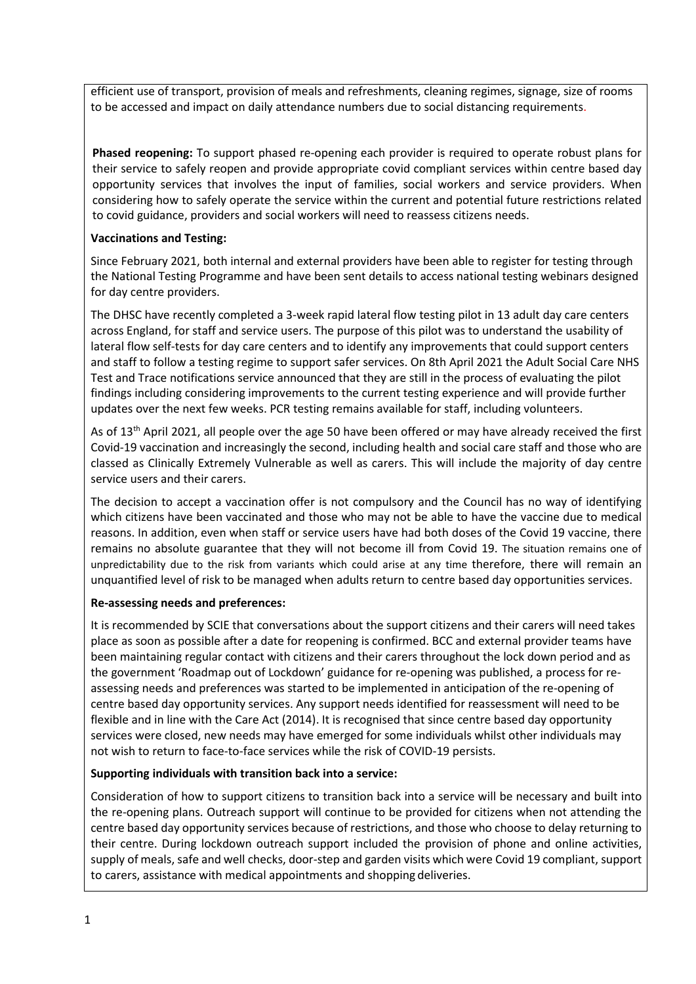efficient use of transport, provision of meals and refreshments, cleaning regimes, signage, size of rooms to be accessed and impact on daily attendance numbers due to social distancing requirements.

**Phased reopening:** To support phased re-opening each provider is required to operate robust plans for their service to safely reopen and provide appropriate covid compliant services within centre based day opportunity services that involves the input of families, social workers and service providers. When considering how to safely operate the service within the current and potential future restrictions related to covid guidance, providers and social workers will need to reassess citizens needs.

### **Vaccinations and Testing:**

Since February 2021, both internal and external providers have been able to register for testing through the National Testing Programme and have been sent details to access national testing webinars designed for day centre providers.

The DHSC have recently completed a 3-week rapid lateral flow testing pilot in 13 adult day care centers across England, for staff and service users. The purpose of this pilot was to understand the usability of lateral flow self-tests for day care centers and to identify any improvements that could support centers and staff to follow a testing regime to support safer services. On 8th April 2021 the Adult Social Care NHS Test and Trace notifications service announced that they are still in the process of evaluating the pilot findings including considering improvements to the current testing experience and will provide further updates over the next few weeks. PCR testing remains available for staff, including volunteers.

As of 13<sup>th</sup> April 2021, all people over the age 50 have been offered or may have already received the first Covid-19 vaccination and increasingly the second, including health and social care staff and those who are classed as Clinically Extremely Vulnerable as well as carers. This will include the majority of day centre service users and their carers.

The decision to accept a vaccination offer is not compulsory and the Council has no way of identifying which citizens have been vaccinated and those who may not be able to have the vaccine due to medical reasons. In addition, even when staff or service users have had both doses of the Covid 19 vaccine, there remains no absolute guarantee that they will not become ill from Covid 19. The situation remains one of unpredictability due to the risk from variants which could arise at any time therefore, there will remain an unquantified level of risk to be managed when adults return to centre based day opportunities services.

# **Re-assessing needs and preferences:**

It is recommended by SCIE that conversations about the support citizens and their carers will need takes place as soon as possible after a date for reopening is confirmed. BCC and external provider teams have been maintaining regular contact with citizens and their carers throughout the lock down period and as the government 'Roadmap out of Lockdown' guidance for re-opening was published, a process for reassessing needs and preferences was started to be implemented in anticipation of the re-opening of centre based day opportunity services. Any support needs identified for reassessment will need to be flexible and in line with the [Care Act \(2014\).](http://www.legislation.gov.uk/ukpga/2014/23/contents/enacted) It is recognised that since centre based day opportunity services were closed, new needs may have emerged for some individuals whilst other individuals may not wish to return to face-to-face services while the risk of COVID-19 persists.

#### **Supporting individuals with transition back into a service:**

Consideration of how to support citizens to transition back into a service will be necessary and built into the re-opening plans. Outreach support will continue to be provided for citizens when not attending the centre based day opportunity services because of restrictions, and those who choose to delay returning to their centre. During lockdown outreach support included the provision of phone and online activities, supply of meals, safe and well checks, door-step and garden visits which were Covid 19 compliant, support to carers, assistance with medical appointments and shopping deliveries.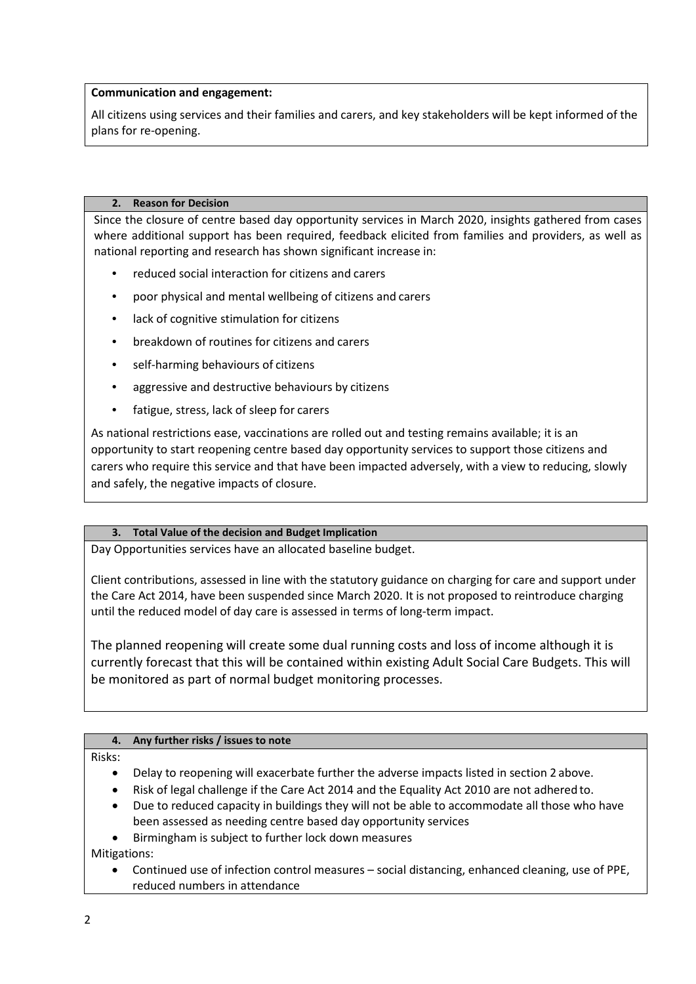### **Communication and engagement:**

All citizens using services and their families and carers, and key stakeholders will be kept informed of the plans for re-opening.

#### **2. Reason for Decision**

Since the closure of centre based day opportunity services in March 2020, insights gathered from cases where additional support has been required, feedback elicited from families and providers, as well as national reporting and research has shown significant increase in:

- reduced social interaction for citizens and carers
- poor physical and mental wellbeing of citizens and carers
- lack of cognitive stimulation for citizens
- breakdown of routines for citizens and carers
- self-harming behaviours of citizens
- aggressive and destructive behaviours by citizens
- fatigue, stress, lack of sleep for carers

As national restrictions ease, vaccinations are rolled out and testing remains available; it is an opportunity to start reopening centre based day opportunity services to support those citizens and carers who require this service and that have been impacted adversely, with a view to reducing, slowly and safely, the negative impacts of closure.

#### **3. Total Value of the decision and Budget Implication**

Day Opportunities services have an allocated baseline budget.

Client contributions, assessed in line with the statutory guidance on charging for care and support under the Care Act 2014, have been suspended since March 2020. It is not proposed to reintroduce charging until the reduced model of day care is assessed in terms of long-term impact.

The planned reopening will create some dual running costs and loss of income although it is currently forecast that this will be contained within existing Adult Social Care Budgets. This will be monitored as part of normal budget monitoring processes.

# **4. Any further risks / issues to note**

#### Risks:

- Delay to reopening will exacerbate further the adverse impacts listed in section 2 above.
- Risk of legal challenge if the Care Act 2014 and the Equality Act 2010 are not adhered to.
- Due to reduced capacity in buildings they will not be able to accommodate all those who have been assessed as needing centre based day opportunity services
- Birmingham is subject to further lock down measures

Mitigations:

• Continued use of infection control measures – social distancing, enhanced cleaning, use of PPE, reduced numbers in attendance